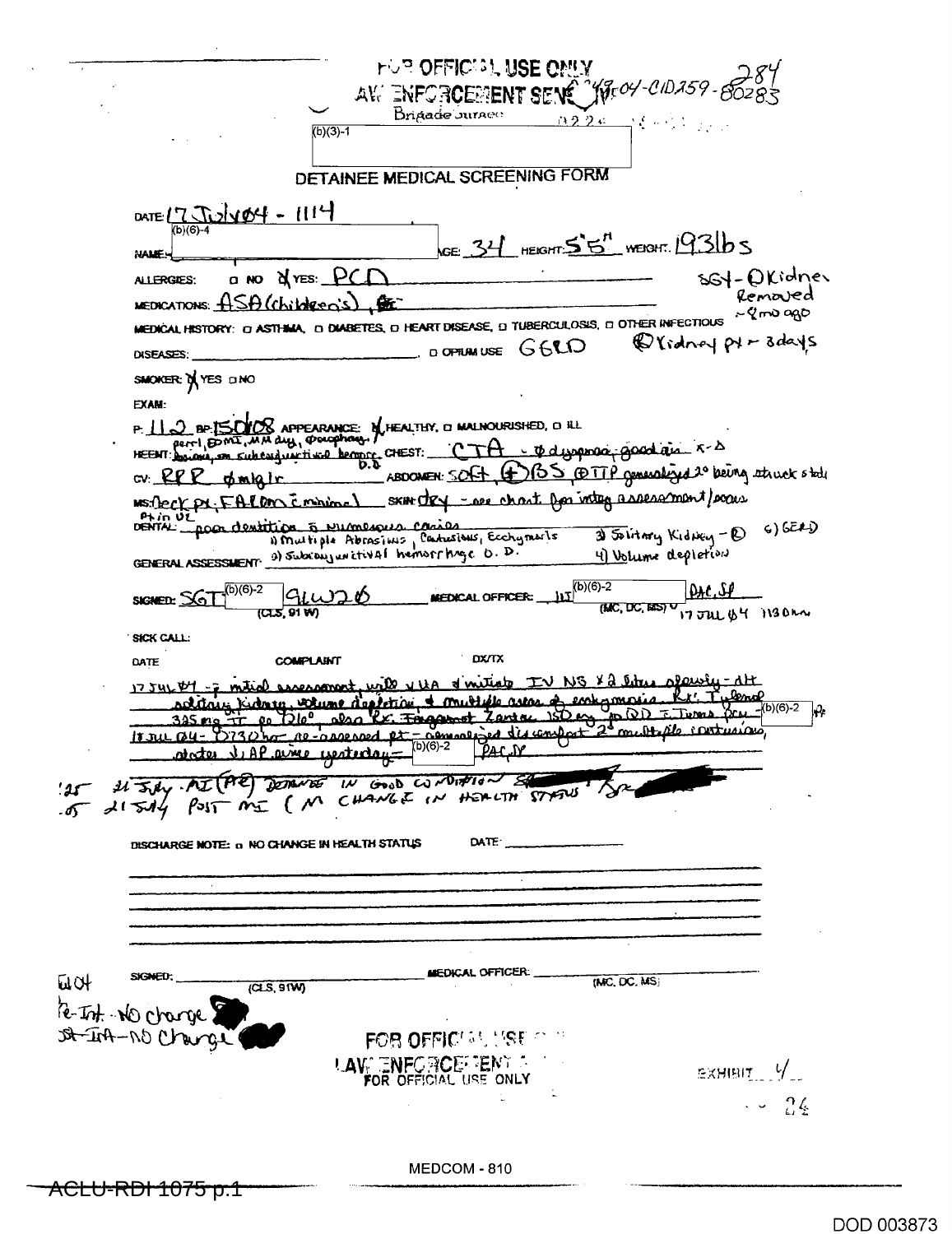| <b>FUR OFFICISL USE ONLY</b>                                                                                                                      |
|---------------------------------------------------------------------------------------------------------------------------------------------------|
| "YJEOY-CID259-<br>AV. ENFORCEMENT SENC                                                                                                            |
| Drigade Juraeo<br>122c<br>コミッシュ                                                                                                                   |
| $(b)(3)-1$                                                                                                                                        |
| DETAINEE MEDICAL SCREENING FORM                                                                                                                   |
| 1111 - HOVLI<br>DATE $17.$                                                                                                                        |
| (b)(6)-4<br>$\kappa \in 31$ HEIGHT $55$ <sup>n</sup> WEIGHT. 1931b S                                                                              |
| <b>MALE</b>                                                                                                                                       |
| ssy-Okidner<br><b>Q NO A YES: PC</b><br>ALLERGIES:<br>Removed<br>$u$ EDICATIONS: $\widehat{H}$ S $\widehat{\Theta}$ (Children)s                   |
| $\sim$ $Q$ max ago<br>MEDICAL HISTORY: 0 ASTHIMA, 0 DIABETES, 0 HEART DISEASE, 0 TUBERCULOSIS, 0 OTHER INFECTIOUS                                 |
| @ Vidney pt - Bdays<br>DOPTUMUSE G6CO<br>DISEASES:                                                                                                |
| SMOKER: D YES DNO                                                                                                                                 |
| EXAM <sup>.</sup>                                                                                                                                 |
| P. 11 2 BP ISOYOS APPEARANCE: M. HEALTHY, O MALNOURISHED, O H.L.<br>pertl, DOMI, MM duy, Doughan.                                                 |
| - Cedwynnia goad air 5-5<br>HEENT: boucaus, son subcard with the benefit CHEST:                                                                   |
| <u>BS PETTP generalized 2°</u> being atruck state<br>cv:RP<br>ABDOMEN: SOLID<br><u>olmia l</u>                                                    |
| SKIH DRY - Dee chart for integ assessment/exam<br>Ms Deck pr. FALDIN Empire<br>Phin UL                                                            |
| DENTAL Toon dentition 5 Pumerous casies<br>6) 6EAD<br>3) Solitary Kidney - D<br>1) Multiple Abrasims, Cantusions, Ecchyments                      |
| GENERAL ASSESSMENT 9) Subcauguretival hemorrhage 0. D.<br>4) Volume depletion                                                                     |
| $(b)(6)-2$<br>$(b)(6)-2$<br>9.1<br><u>GLW-</u><br>MEDICAL OFFICER:<br>SIGNED: SG<br>(MC, DC, BES) V<br>(CLS, 91 W<br>17 JUL BY 1130M              |
| <b>SICK CALL.</b>                                                                                                                                 |
| <b>DX/TX</b><br><b>COMPLAINT</b><br>DATE                                                                                                          |
| 22 liter slawfy-dt<br>d witter<br>wall vita<br><u>ssessament</u><br>1754LBL<br><u>lend</u><br>murtiele astas<br>entermas<br>teti ov<br>Anto Riume |
| _(b)(6)-2<br>ΙĤ<br><u>le. Foggmet</u><br>$150 \omega$<br>Lard<br>صطف<br>345 ma <del>Fin</del><br>m <u>of de contrains</u>                         |
| 18 rue Q4 = D730 por ne casse road pt = agreeme por discomplet<br>aime yesteday="                                                                 |
|                                                                                                                                                   |
| IN SAY MI (AE) DOTATOS IN GOOD CONDITIONS STATUS                                                                                                  |
| DATE<br>DISCHARGE NOTE: a NO CHANGE IN HEALTH STATUS                                                                                              |
|                                                                                                                                                   |
|                                                                                                                                                   |
|                                                                                                                                                   |
|                                                                                                                                                   |
| MEDICAL OFFICER:<br>(MC, DC, MS)<br><b>WOT</b>                                                                                                    |
| (CLS, 9TW)                                                                                                                                        |
| Re-Ist. No change<br>DA-In-NO Char                                                                                                                |
| FOR OFFICULT USE OF TH                                                                                                                            |
| <b>LAVE ENFORCE TENT AND</b><br>$EXHIBIT$ $V$<br>FOR OFFICIAL USE ONLY                                                                            |
| $\sim 24$                                                                                                                                         |
|                                                                                                                                                   |
| MEDCOM - 810                                                                                                                                      |
| <u>ACLU-RDI 1075 p.1</u>                                                                                                                          |

DOD 003873